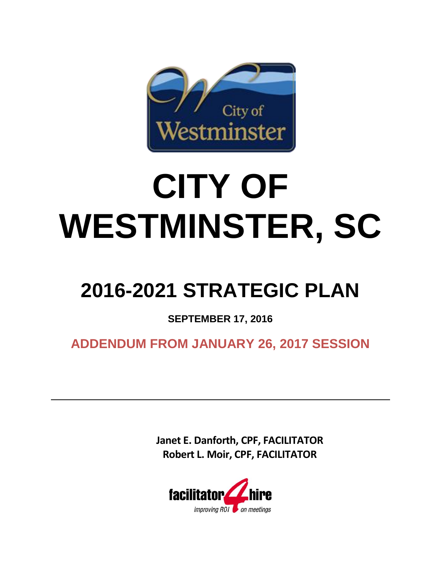

# **CITY OF WESTMINSTER, SC**

## **2016-2021 STRATEGIC PLAN**

**SEPTEMBER 17, 2016**

**ADDENDUM FROM JANUARY 26, 2017 SESSION**

**Janet E. Danforth, CPF, FACILITATOR Robert L. Moir, CPF, FACILITATOR**

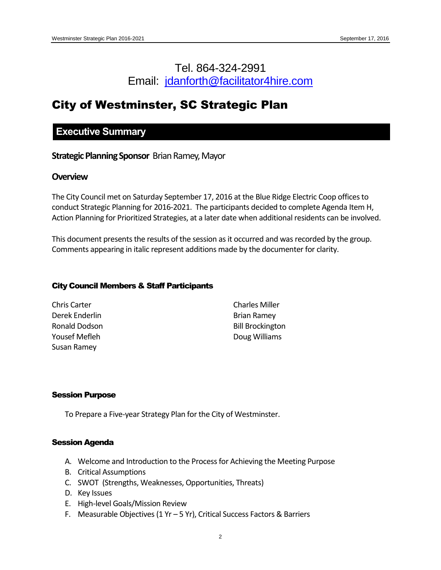## Tel. 864-324-2991 Email: [jdanforth@facilitator4hire.com](mailto:jdanforth@facilitator4hire.com)

## City of Westminster, SC Strategic Plan

## **Executive Summary**

**Strategic Planning Sponsor** Brian Ramey, Mayor

#### **Overview**

The City Council met on Saturday September 17, 2016 at the Blue Ridge Electric Coop offices to conduct Strategic Planning for 2016-2021. The participants decided to complete Agenda Item H, Action Planning for Prioritized Strategies, at a later date when additional residents can be involved.

This document presents the results of the session as it occurred and was recorded by the group. Comments appearing in italic represent additions made by the documenter for clarity.

#### City Council Members & Staff Participants

| Chris Carter   | <b>Charles Miller</b>   |
|----------------|-------------------------|
| Derek Enderlin | <b>Brian Ramey</b>      |
| Ronald Dodson  | <b>Bill Brockington</b> |
| Yousef Mefleh  | Doug Williams           |
| Susan Ramey    |                         |

#### Session Purpose

To Prepare a Five-year Strategy Plan for the City of Westminster.

#### Session Agenda

- A. Welcome and Introduction to the Process for Achieving the Meeting Purpose
- B. Critical Assumptions
- C. SWOT (Strengths, Weaknesses, Opportunities, Threats)
- D. Key Issues
- E. High-level Goals/Mission Review
- F. Measurable Objectives (1 Yr 5 Yr), Critical Success Factors & Barriers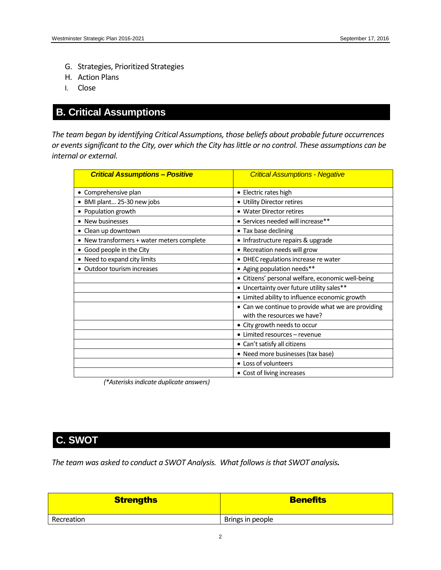- G. Strategies, Prioritized Strategies
- H. Action Plans
- I. Close

## **B. Critical Assumptions**

*The team began by identifying Critical Assumptions, those beliefs about probable future occurrences or events significant to the City, over which the City has little or no control. These assumptions can be internal or external.*

| <b>Critical Assumptions - Positive</b>     | <b>Critical Assumptions - Negative</b>             |
|--------------------------------------------|----------------------------------------------------|
| • Comprehensive plan                       | • Electric rates high                              |
| · BMI plant 25-30 new jobs                 | • Utility Director retires                         |
| • Population growth                        | • Water Director retires                           |
| • New businesses                           | • Services needed will increase**                  |
| • Clean up downtown                        | • Tax base declining                               |
| • New transformers + water meters complete | • Infrastructure repairs & upgrade                 |
| • Good people in the City                  | • Recreation needs will grow                       |
| • Need to expand city limits               | · DHEC regulations increase re water               |
| • Outdoor tourism increases                | • Aging population needs**                         |
|                                            | · Citizens' personal welfare, economic well-being  |
|                                            | • Uncertainty over future utility sales**          |
|                                            | • Limited ability to influence economic growth     |
|                                            | • Can we continue to provide what we are providing |
|                                            | with the resources we have?                        |
|                                            | • City growth needs to occur                       |
|                                            | • Limited resources - revenue                      |
|                                            | • Can't satisfy all citizens                       |
|                                            | • Need more businesses (tax base)                  |
|                                            | • Loss of volunteers                               |
|                                            | • Cost of living increases                         |

*(\*Asterisks indicate duplicate answers)*

## **C. SWOT**

*The team was asked to conduct a SWOT Analysis. What follows is that SWOT analysis.* 

| <b>Strengths</b> | <b>Benefits</b>  |
|------------------|------------------|
| Recreation       | Brings in people |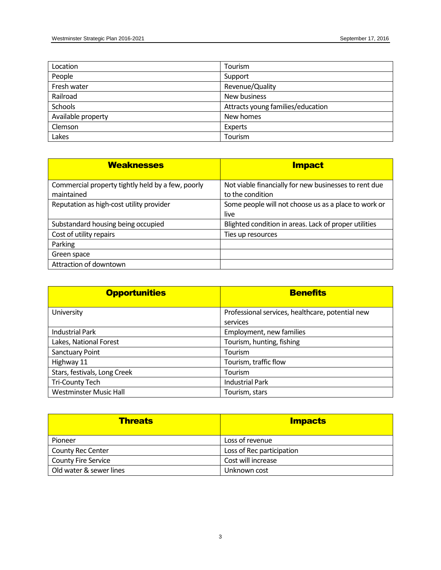| Location           | Tourism                           |
|--------------------|-----------------------------------|
| People             | Support                           |
| Fresh water        | Revenue/Quality                   |
| Railroad           | New business                      |
| Schools            | Attracts young families/education |
| Available property | New homes                         |
| Clemson            | Experts                           |
| Lakes              | Tourism                           |

| <b>Weaknesses</b>                                 | <b>Impact</b>                                         |
|---------------------------------------------------|-------------------------------------------------------|
| Commercial property tightly held by a few, poorly | Not viable financially for new businesses to rent due |
| maintained                                        | to the condition                                      |
| Reputation as high-cost utility provider          | Some people will not choose us as a place to work or  |
|                                                   | live                                                  |
| Substandard housing being occupied                | Blighted condition in areas. Lack of proper utilities |
| Cost of utility repairs                           | Ties up resources                                     |
| Parking                                           |                                                       |
| Green space                                       |                                                       |
| Attraction of downtown                            |                                                       |

| <b>Opportunities</b>          | <b>Benefits</b>                                  |  |  |  |  |
|-------------------------------|--------------------------------------------------|--|--|--|--|
| University                    | Professional services, healthcare, potential new |  |  |  |  |
|                               | services                                         |  |  |  |  |
| <b>Industrial Park</b>        | Employment, new families                         |  |  |  |  |
| Lakes, National Forest        | Tourism, hunting, fishing                        |  |  |  |  |
| Sanctuary Point               | Tourism                                          |  |  |  |  |
| Highway 11                    | Tourism, traffic flow                            |  |  |  |  |
| Stars, festivals, Long Creek  | Tourism                                          |  |  |  |  |
| <b>Tri-County Tech</b>        | <b>Industrial Park</b>                           |  |  |  |  |
| <b>Westminster Music Hall</b> | Tourism, stars                                   |  |  |  |  |

| <b>Threats</b>             | <b>Impacts</b>            |
|----------------------------|---------------------------|
| Pioneer                    | Loss of revenue           |
| <b>County Rec Center</b>   | Loss of Rec participation |
| <b>County Fire Service</b> | Cost will increase        |
| Old water & sewer lines    | Unknown cost              |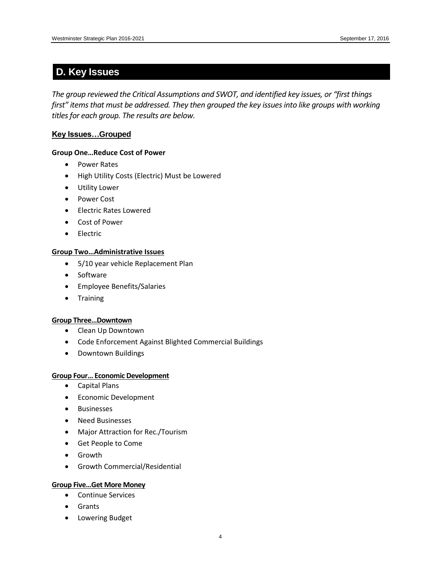## **D. Key Issues**

*The group reviewed the Critical Assumptions and SWOT, and identified key issues, or "first things first" items that must be addressed. They then grouped the key issues into like groups with working titles for each group. The results are below.*

#### **Key Issues…Grouped**

#### **Group One…Reduce Cost of Power**

- Power Rates
- High Utility Costs (Electric) Must be Lowered
- Utility Lower
- Power Cost
- **•** Electric Rates Lowered
- Cost of Power
- **•** Electric

#### **Group Two…Administrative Issues**

- 5/10 year vehicle Replacement Plan
- Software
- Employee Benefits/Salaries
- **•** Training

#### **Group Three…Downtown**

- Clean Up Downtown
- Code Enforcement Against Blighted Commercial Buildings
- Downtown Buildings

#### **Group Four… Economic Development**

- Capital Plans
- **•** Economic Development
- Businesses
- Need Businesses
- Major Attraction for Rec./Tourism
- Get People to Come
- Growth
- Growth Commercial/Residential

#### **Group Five…Get More Money**

- Continue Services
- Grants
- Lowering Budget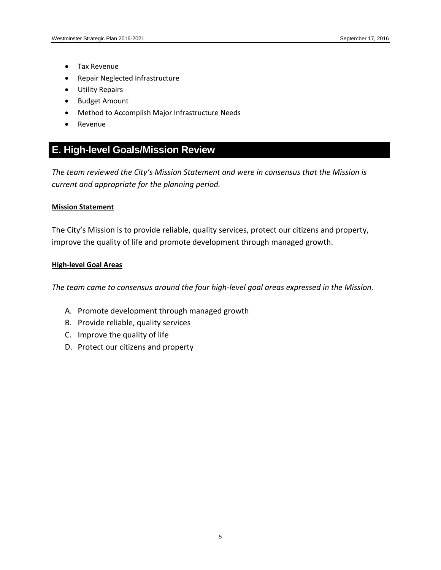- Tax Revenue
- Repair Neglected Infrastructure
- Utility Repairs
- Budget Amount
- Method to Accomplish Major Infrastructure Needs
- Revenue

## **E. High-level Goals/Mission Review**

*The team reviewed the City's Mission Statement and were in consensus that the Mission is current and appropriate for the planning period.*

#### **Mission Statement**

The City's Mission is to provide reliable, quality services, protect our citizens and property, improve the quality of life and promote development through managed growth.

#### **High-level Goal Areas**

*The team came to consensus around the four high-level goal areas expressed in the Mission.*

- A. Promote development through managed growth
- B. Provide reliable, quality services
- C. Improve the quality of life
- D. Protect our citizens and property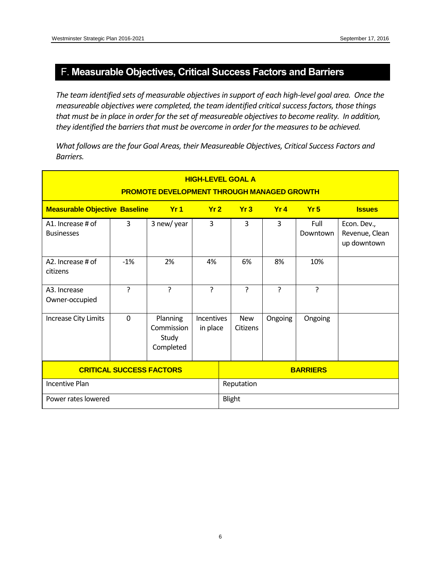## F. **Measurable Objectives, Critical Success Factors and Barriers**

The team identified sets of measurable objectives in support of each high-level goal area. Once the *measureable objectives were completed, the team identified critical success factors, those things that must be in place in order for the set of measureable objectives to become reality. In addition, they identified the barriers that must be overcome in order for the measures to be achieved.* 

*What follows are the four Goal Areas, their Measureable Objectives, Critical Success Factors and Barriers.*

| <b>HIGH-LEVEL GOAL A</b><br><b>PROMOTE DEVELOPMENT THROUGH MANAGED GROWTH</b> |             |                                              |                               |            |                        |                |                  |                                              |
|-------------------------------------------------------------------------------|-------------|----------------------------------------------|-------------------------------|------------|------------------------|----------------|------------------|----------------------------------------------|
| <b>Measurable Objective Baseline</b>                                          |             | Yr1                                          | Yr2                           | Yr3        |                        | Yr4            | Yr5              | <b>Issues</b>                                |
| A1. Increase # of<br><b>Businesses</b>                                        | 3           | 3 new/year                                   | 3                             |            | 3                      | 3              | Full<br>Downtown | Econ. Dev.,<br>Revenue, Clean<br>up downtown |
| A2. Increase # of<br>citizens                                                 | $-1%$       | 2%                                           | 4%                            |            | 6%                     | 8%             | 10%              |                                              |
| A <sub>3</sub> . Increase<br>Owner-occupied                                   | ?           | ?                                            | <sub>5</sub>                  |            | ŗ                      | $\overline{?}$ | ?                |                                              |
| Increase City Limits                                                          | $\mathbf 0$ | Planning<br>Commission<br>Study<br>Completed | <b>Incentives</b><br>in place |            | <b>New</b><br>Citizens | Ongoing        | Ongoing          |                                              |
| <b>CRITICAL SUCCESS FACTORS</b>                                               |             |                                              |                               |            |                        |                | <b>BARRIERS</b>  |                                              |
| <b>Incentive Plan</b>                                                         |             |                                              |                               | Reputation |                        |                |                  |                                              |
| Power rates lowered                                                           |             |                                              |                               | Blight     |                        |                |                  |                                              |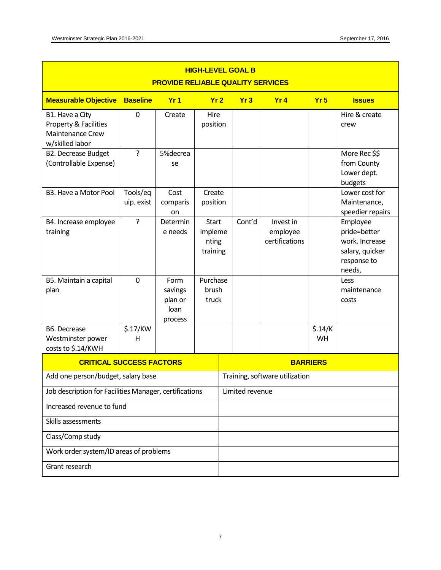| <b>HIGH-LEVEL GOAL B</b><br><b>PROVIDE RELIABLE QUALITY SERVICES</b>            |                                                                                        |                                               |                                              |                                |        |                                         |                 |                                                                                        |
|---------------------------------------------------------------------------------|----------------------------------------------------------------------------------------|-----------------------------------------------|----------------------------------------------|--------------------------------|--------|-----------------------------------------|-----------------|----------------------------------------------------------------------------------------|
| <b>Measurable Objective</b>                                                     | <b>Baseline</b><br>Yr <sub>1</sub><br>Yr <sub>2</sub><br>Yr3<br>Yr4<br>Yr <sub>5</sub> |                                               |                                              |                                |        |                                         |                 | <b>Issues</b>                                                                          |
| B1. Have a City<br>Property & Facilities<br>Maintenance Crew<br>w/skilled labor | $\mathbf{0}$                                                                           | Create                                        | Hire<br>position                             |                                |        |                                         |                 | Hire & create<br>crew                                                                  |
| <b>B2. Decrease Budget</b><br>(Controllable Expense)                            | ?                                                                                      | 5%decrea<br>se                                |                                              |                                |        |                                         |                 | More Rec \$\$<br>from County<br>Lower dept.<br>budgets                                 |
| B3. Have a Motor Pool                                                           | Tools/eq<br>uip. exist                                                                 | Cost<br>comparis<br>on                        | Create<br>position                           |                                |        |                                         |                 | Lower cost for<br>Maintenance,<br>speedier repairs                                     |
| B4. Increase employee<br>training                                               | ŗ                                                                                      | Determin<br>e needs                           | <b>Start</b><br>impleme<br>nting<br>training |                                | Cont'd | Invest in<br>employee<br>certifications |                 | Employee<br>pride=better<br>work. Increase<br>salary, quicker<br>response to<br>needs, |
| B5. Maintain a capital<br>plan                                                  | $\mathbf 0$                                                                            | Form<br>savings<br>plan or<br>loan<br>process | Purchase<br>brush<br>truck                   |                                |        |                                         |                 | Less<br>maintenance<br>costs                                                           |
| B6. Decrease<br>Westminster power<br>costs to \$.14/KWH                         | \$.17/KW<br>н                                                                          |                                               |                                              |                                |        |                                         | \$.14/K<br>WH   |                                                                                        |
| <b>CRITICAL SUCCESS FACTORS</b>                                                 |                                                                                        |                                               |                                              |                                |        |                                         | <b>BARRIERS</b> |                                                                                        |
| Add one person/budget, salary base                                              |                                                                                        |                                               |                                              | Training, software utilization |        |                                         |                 |                                                                                        |
| Job description for Facilities Manager, certifications                          |                                                                                        |                                               |                                              | Limited revenue                |        |                                         |                 |                                                                                        |
|                                                                                 | Increased revenue to fund                                                              |                                               |                                              |                                |        |                                         |                 |                                                                                        |
|                                                                                 | Skills assessments                                                                     |                                               |                                              |                                |        |                                         |                 |                                                                                        |
| Class/Comp study                                                                |                                                                                        |                                               |                                              |                                |        |                                         |                 |                                                                                        |
|                                                                                 | Work order system/ID areas of problems                                                 |                                               |                                              |                                |        |                                         |                 |                                                                                        |
| Grant research                                                                  |                                                                                        |                                               |                                              |                                |        |                                         |                 |                                                                                        |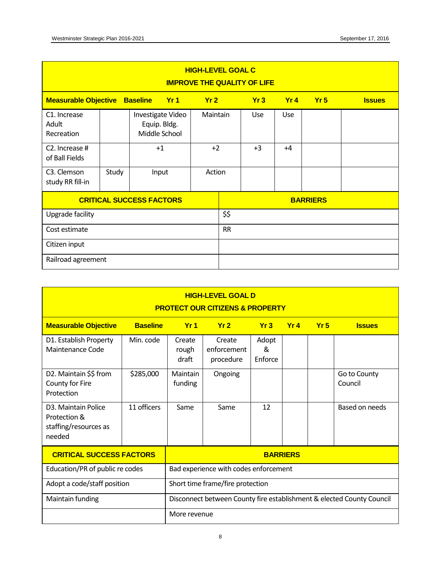| <b>HIGH-LEVEL GOAL C</b><br><b>IMPROVE THE QUALITY OF LIFE</b> |       |                                                    |           |          |      |            |            |                 |               |
|----------------------------------------------------------------|-------|----------------------------------------------------|-----------|----------|------|------------|------------|-----------------|---------------|
| Yr1<br><b>Measurable Objective</b><br><b>Baseline</b><br>Yr2   |       |                                                    |           |          |      | Yr3        | Yr4        | Yr5             | <b>Issues</b> |
| C <sub>1</sub> . Increase<br>Adult<br>Recreation               |       | Investigate Video<br>Equip. Bldg.<br>Middle School |           | Maintain |      | <b>Use</b> | <b>Use</b> |                 |               |
| C2. Increase #<br>of Ball Fields                               |       | $+1$                                               |           | $+2$     |      | $+3$       | $+4$       |                 |               |
| C3. Clemson<br>study RR fill-in                                | Study | Input                                              |           | Action   |      |            |            |                 |               |
| <b>CRITICAL SUCCESS FACTORS</b>                                |       |                                                    |           |          |      |            |            | <b>BARRIERS</b> |               |
| Upgrade facility                                               |       |                                                    |           |          | \$\$ |            |            |                 |               |
| Cost estimate                                                  |       |                                                    | <b>RR</b> |          |      |            |            |                 |               |
| Citizen input                                                  |       |                                                    |           |          |      |            |            |                 |               |
| Railroad agreement                                             |       |                                                    |           |          |      |            |            |                 |               |

| <b>HIGH-LEVEL GOAL D</b><br><b>PROTECT OUR CITIZENS &amp; PROPERTY</b>              |                 |                                                                                       |                                    |                       |     |     |                         |
|-------------------------------------------------------------------------------------|-----------------|---------------------------------------------------------------------------------------|------------------------------------|-----------------------|-----|-----|-------------------------|
| <b>Measurable Objective</b>                                                         | <b>Baseline</b> | Yr1                                                                                   | Yr2                                | Yr3                   | Yr4 | Yr5 | <b>Issues</b>           |
| D1. Establish Property<br>Maintenance Code                                          | Min. code       | Create<br>rough<br>draft                                                              | Create<br>enforcement<br>procedure | Adopt<br>&<br>Enforce |     |     |                         |
| D2. Maintain \$\$ from<br>County for Fire<br>Protection                             | \$285,000       | <b>Maintain</b><br>funding                                                            | Ongoing                            |                       |     |     | Go to County<br>Council |
| D <sub>3</sub> . Maintain Police<br>Protection &<br>staffing/resources as<br>needed | 11 officers     | Same                                                                                  | Same                               | 12                    |     |     | Based on needs          |
| <b>CRITICAL SUCCESS FACTORS</b>                                                     |                 |                                                                                       |                                    | <b>BARRIERS</b>       |     |     |                         |
| Education/PR of public re codes                                                     |                 | Bad experience with codes enforcement                                                 |                                    |                       |     |     |                         |
| Adopt a code/staff position                                                         |                 | Short time frame/fire protection                                                      |                                    |                       |     |     |                         |
| Maintain funding                                                                    |                 | Disconnect between County fire establishment & elected County Council<br>More revenue |                                    |                       |     |     |                         |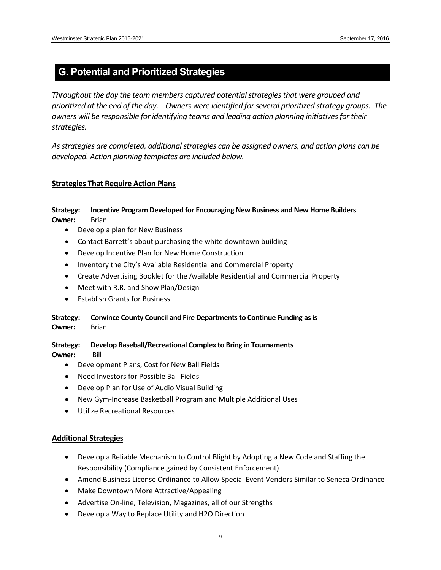## **G. Potential and Prioritized Strategies**

*Throughout the day the team members captured potential strategies that were grouped and prioritized at the end of the day. Owners were identified for several prioritized strategy groups. The owners will be responsible for identifying teams and leading action planning initiatives for their strategies.* 

*As strategies are completed, additional strategies can be assigned owners, and action plans can be developed. Action planning templates are included below.*

#### **Strategies That Require Action Plans**

#### **Strategy: Incentive Program Developed for Encouraging New Business and New Home Builders Owner:** Brian

- Develop a plan for New Business
- Contact Barrett's about purchasing the white downtown building
- Develop Incentive Plan for New Home Construction
- Inventory the City's Available Residential and Commercial Property
- Create Advertising Booklet for the Available Residential and Commercial Property
- Meet with R.R. and Show Plan/Design
- Establish Grants for Business

#### **Strategy: Convince County Council and Fire Departments to Continue Funding as is Owner:** Brian

#### **Strategy: Develop Baseball/Recreational Complex to Bring in Tournaments Owner:** Bill

- Development Plans, Cost for New Ball Fields
- Need Investors for Possible Ball Fields
- Develop Plan for Use of Audio Visual Building
- New Gym-Increase Basketball Program and Multiple Additional Uses
- Utilize Recreational Resources

#### **Additional Strategies**

- Develop a Reliable Mechanism to Control Blight by Adopting a New Code and Staffing the Responsibility (Compliance gained by Consistent Enforcement)
- Amend Business License Ordinance to Allow Special Event Vendors Similar to Seneca Ordinance
- Make Downtown More Attractive/Appealing
- Advertise On-line, Television, Magazines, all of our Strengths
- Develop a Way to Replace Utility and H2O Direction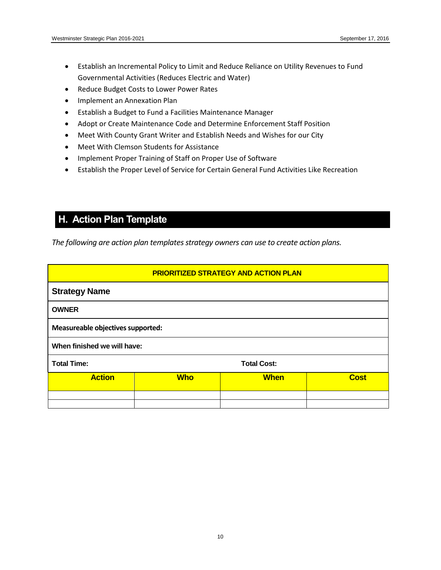- Establish an Incremental Policy to Limit and Reduce Reliance on Utility Revenues to Fund Governmental Activities (Reduces Electric and Water)
- Reduce Budget Costs to Lower Power Rates
- **•** Implement an Annexation Plan
- Establish a Budget to Fund a Facilities Maintenance Manager
- Adopt or Create Maintenance Code and Determine Enforcement Staff Position
- Meet With County Grant Writer and Establish Needs and Wishes for our City
- Meet With Clemson Students for Assistance
- Implement Proper Training of Staff on Proper Use of Software
- Establish the Proper Level of Service for Certain General Fund Activities Like Recreation

## **H. Action Plan Template**

*The following are action plan templates strategy owners can use to create action plans.*

| <b>PRIORITIZED STRATEGY AND ACTION PLAN</b>               |  |  |  |  |  |  |  |
|-----------------------------------------------------------|--|--|--|--|--|--|--|
| <b>Strategy Name</b>                                      |  |  |  |  |  |  |  |
| <b>OWNER</b>                                              |  |  |  |  |  |  |  |
| Measureable objectives supported:                         |  |  |  |  |  |  |  |
| When finished we will have:                               |  |  |  |  |  |  |  |
| <b>Total Time:</b><br><b>Total Cost:</b>                  |  |  |  |  |  |  |  |
| <b>Action</b><br><b>Who</b><br><b>When</b><br><b>Cost</b> |  |  |  |  |  |  |  |
|                                                           |  |  |  |  |  |  |  |
|                                                           |  |  |  |  |  |  |  |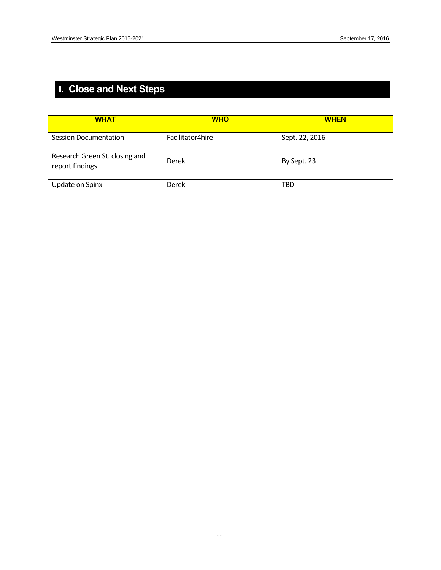## I**. Close and Next Steps**

| <b>WHAT</b>                                       | <b>WHO</b>       | <b>WHEN</b>    |
|---------------------------------------------------|------------------|----------------|
| Session Documentation                             | Facilitator4hire | Sept. 22, 2016 |
| Research Green St. closing and<br>report findings | Derek            | By Sept. 23    |
| Update on Spinx                                   | Derek            | <b>TBD</b>     |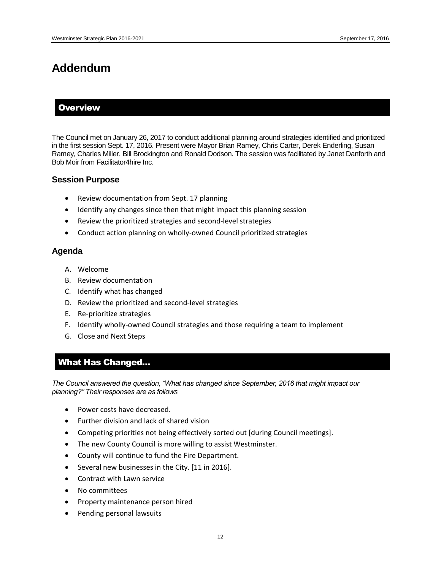## **Addendum**

#### **Overview**

The Council met on January 26, 2017 to conduct additional planning around strategies identified and prioritized in the first session Sept. 17, 2016. Present were Mayor Brian Ramey, Chris Carter, Derek Enderling, Susan Ramey, Charles Miller, Bill Brockington and Ronald Dodson. The session was facilitated by Janet Danforth and Bob Moir from Facilitator4hire Inc.

#### **Session Purpose**

- Review documentation from Sept. 17 planning
- Identify any changes since then that might impact this planning session
- Review the prioritized strategies and second-level strategies
- Conduct action planning on wholly-owned Council prioritized strategies

#### **Agenda**

- A. Welcome
- B. Review documentation
- C. Identify what has changed
- D. Review the prioritized and second-level strategies
- E. Re-prioritize strategies
- F. Identify wholly-owned Council strategies and those requiring a team to implement
- G. Close and Next Steps

#### What Has Changed…

*The Council answered the question, "What has changed since September, 2016 that might impact our planning?" Their responses are as follows*

- Power costs have decreased.
- Further division and lack of shared vision
- Competing priorities not being effectively sorted out [during Council meetings].
- The new County Council is more willing to assist Westminster.
- County will continue to fund the Fire Department.
- Several new businesses in the City. [11 in 2016].
- Contract with Lawn service
- No committees
- Property maintenance person hired
- Pending personal lawsuits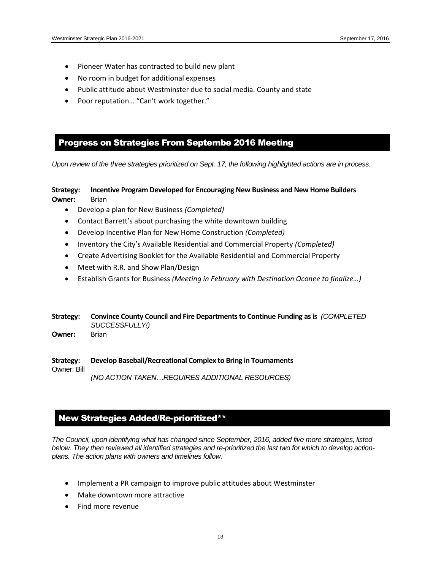- Pioneer Water has contracted to build new plant
- No room in budget for additional expenses
- Public attitude about Westminster due to social media. County and state
- Poor reputation… "Can't work together."

#### Progress on Strategies From Septembe 2016 Meeting

*Upon review of the three strategies prioritized on Sept. 17, the following highlighted actions are in process.*

#### **Strategy: Incentive Program Developed for Encouraging New Business and New Home Builders Owner:** Brian

- Develop a plan for New Business *(Completed)*
- Contact Barrett's about purchasing the white downtown building
- Develop Incentive Plan for New Home Construction *(Completed)*
- Inventory the City's Available Residential and Commercial Property *(Completed)*
- Create Advertising Booklet for the Available Residential and Commercial Property
- Meet with R.R. and Show Plan/Design
- Establish Grants for Business *(Meeting in February with Destination Oconee to finalize…)*

#### **Strategy: Convince County Council and Fire Departments to Continue Funding as is** *(COMPLETED SUCCESSFULLY!)*

**Owner:** Brian

**Strategy: Develop Baseball/Recreational Complex to Bring in Tournaments**  Owner: Bill *(NO ACTION TAKEN…REQUIRES ADDITIONAL RESOURCES)*

#### New Strategies Added/Re-prioritized\*\*

*The Council, upon identifying what has changed since September, 2016, added five more strategies, listed below. They then reviewed all identified strategies and re-prioritized the last two for which to develop actionplans. The action plans with owners and timelines follow.*

- Implement a PR campaign to improve public attitudes about Westminster
- Make downtown more attractive
- Find more revenue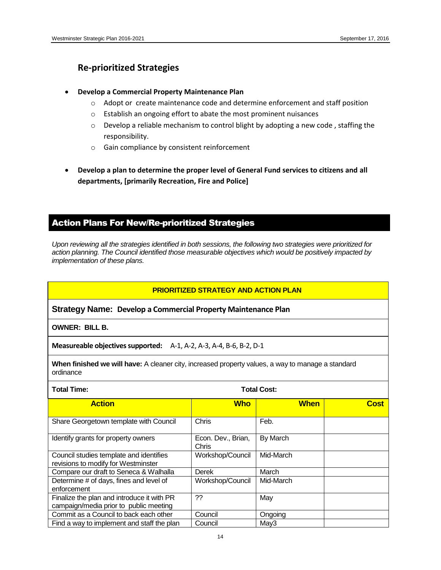## **Re-prioritized Strategies**

#### **Develop a Commercial Property Maintenance Plan**

- $\circ$  Adopt or create maintenance code and determine enforcement and staff position
- o Establish an ongoing effort to abate the most prominent nuisances
- $\circ$  Develop a reliable mechanism to control blight by adopting a new code, staffing the responsibility.
- o Gain compliance by consistent reinforcement
- **Develop a plan to determine the proper level of General Fund services to citizens and all departments, [primarily Recreation, Fire and Police]**

## Action Plans For New/Re-prioritized Strategies

*Upon reviewing all the strategies identified in both sessions, the following two strategies were prioritized for action planning. The Council identified those measurable objectives which would be positively impacted by implementation of these plans.*

#### **PRIORITIZED STRATEGY AND ACTION PLAN**

**Strategy Name: Develop a Commercial Property Maintenance Plan**

**OWNER: BILL B.**

**Measureable objectives supported:** A-1, A-2, A-3, A-4, B-6, B-2, D-1

**When finished we will have:** A cleaner city, increased property values, a way to manage a standard ordinance

| <b>Total Time:</b>                                                                   | <b>Total Cost:</b>          |             |      |
|--------------------------------------------------------------------------------------|-----------------------------|-------------|------|
| <b>Action</b>                                                                        | <b>Who</b>                  | <b>When</b> | Cost |
| Share Georgetown template with Council                                               | Chris                       | Feb.        |      |
| Identify grants for property owners                                                  | Econ. Dev., Brian,<br>Chris | By March    |      |
| Council studies template and identifies<br>revisions to modify for Westminster       | Workshop/Council            | Mid-March   |      |
| Compare our draft to Seneca & Walhalla                                               | <b>Derek</b>                | March       |      |
| Determine # of days, fines and level of<br>enforcement                               | Workshop/Council            | Mid-March   |      |
| Finalize the plan and introduce it with PR<br>campaign/media prior to public meeting | ??                          | May         |      |
| Commit as a Council to back each other                                               | Council                     | Ongoing     |      |
| Find a way to implement and staff the plan                                           | Council                     | May3        |      |